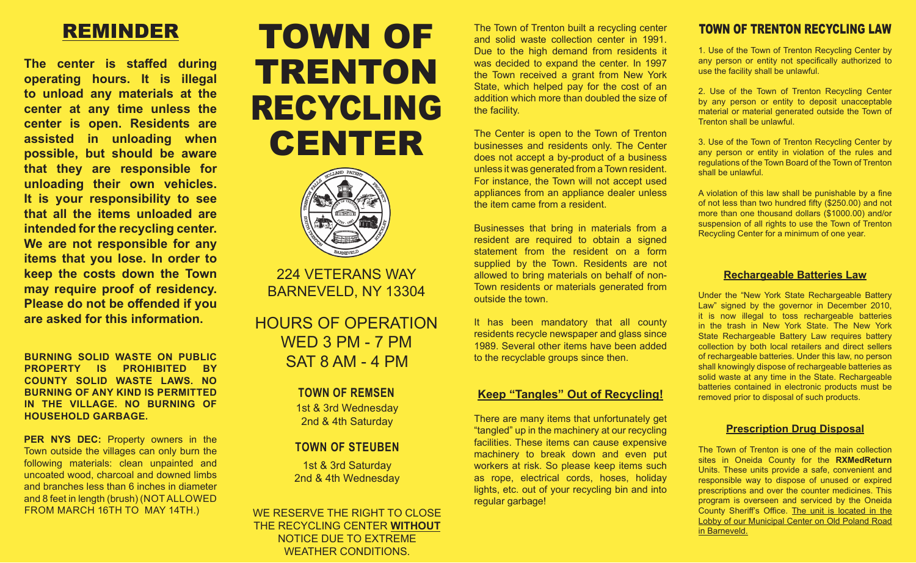## REMINDER

**The center is staffed during operating hours. It is illegal to unload any materials at the center at any time unless the center is open. Residents are assisted in unloading when possible, but should be aware that they are responsible for unloading their own vehicles. It is your responsibility to see that all the items unloaded are intended for the recycling center. We are not responsible for any items that you lose. In order to keep the costs down the Town may require proof of residency. Please do not be offended if you are asked for this information.**

**BURNING SOLID WASTE ON PUBLIC PROPERTY IS PROHIBITED BY COUNTY SOLID WASTE LAWS. NO BURNING OF ANY KIND IS PERMITTED IN THE VILLAGE. NO BURNING OF HOUSEHOLD GARBAGE.**

**PER NYS DEC:** Property owners in the Town outside the villages can only burn the following materials: clean unpainted and uncoated wood, charcoal and downed limbs and branches less than 6 inches in diameter and 8 feet in length (brush) (NOT ALLOWED FROM MARCH 16TH TO MAY 14TH.)

# TOWN OF TRENTON RECYCLING CENTER



224 VETERANS WAY BARNEVELD, NY 13304

HOURS OF OPERATION WED 3 PM - 7 PM SAT 8 AM - 4 PM

#### **TOWN OF REMSEN**

1st & 3rd Wednesday 2nd & 4th Saturday

### **TOWN OF STEUBEN**

1st & 3rd Saturday 2nd & 4th Wednesday

WE RESERVE THE RIGHT TO CLOSE THE RECYCLING CENTER **WITHOUT** NOTICE DUE TO EXTREME WEATHER CONDITIONS.

The Town of Trenton built a recycling center and solid waste collection center in 1991. Due to the high demand from residents it was decided to expand the center. In 1997 the Town received a grant from New York State, which helped pay for the cost of an addition which more than doubled the size of the facility.

The Center is open to the Town of Trenton businesses and residents only. The Center does not accept a by-product of a business unless it was generated from a Town resident. For instance, the Town will not accept used appliances from an appliance dealer unless the item came from a resident.

Businesses that bring in materials from a resident are required to obtain a signed statement from the resident on a form supplied by the Town. Residents are not allowed to bring materials on behalf of non-Town residents or materials generated from outside the town.

It has been mandatory that all county residents recycle newspaper and glass since 1989. Several other items have been added to the recyclable groups since then.

#### **Keep "Tangles" Out of Recycling!**

There are many items that unfortunately get "tangled" up in the machinery at our recycling facilities. These items can cause expensive machinery to break down and even put workers at risk. So please keep items such as rope, electrical cords, hoses, holiday lights, etc. out of your recycling bin and into regular garbage!

### TOWN OF TRENTON RECYCLING LAW

1. Use of the Town of Trenton Recycling Center by any person or entity not specifically authorized to use the facility shall be unlawful.

2. Use of the Town of Trenton Recycling Center by any person or entity to deposit unacceptable material or material generated outside the Town of Trenton shall be unlawful.

3. Use of the Town of Trenton Recycling Center by any person or entity in violation of the rules and regulations of the Town Board of the Town of Trenton shall be unlawful.

A violation of this law shall be punishable by a fine of not less than two hundred fifty (\$250.00) and not more than one thousand dollars (\$1000.00) and/or suspension of all rights to use the Town of Trenton Recycling Center for a minimum of one year.

#### **Rechargeable Batteries Law**

Under the "New York State Rechargeable Battery Law" signed by the governor in December 2010, it is now illegal to toss rechargeable batteries in the trash in New York State. The New York State Rechargeable Battery Law requires battery collection by both local retailers and direct sellers of rechargeable batteries. Under this law, no person shall knowingly dispose of rechargeable batteries as solid waste at any time in the State. Rechargeable batteries contained in electronic products must be removed prior to disposal of such products.

#### **Prescription Drug Disposal**

The Town of Trenton is one of the main collection sites in Oneida County for the **RXMedReturn** Units. These units provide a safe, convenient and responsible way to dispose of unused or expired prescriptions and over the counter medicines. This program is overseen and serviced by the Oneida County Sheriff's Office. The unit is located in the Lobby of our Municipal Center on Old Poland Road in Barneveld.